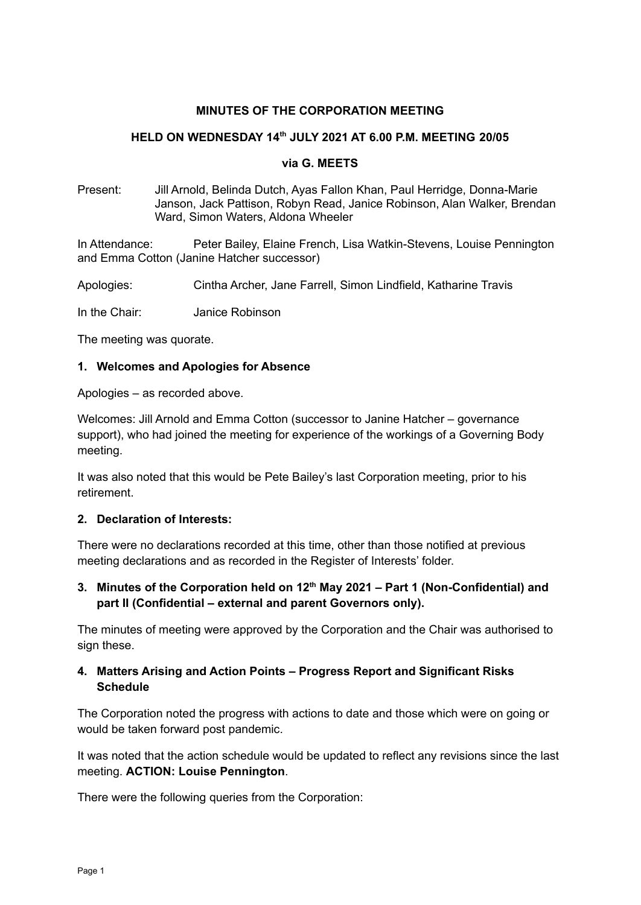#### **MINUTES OF THE CORPORATION MEETING**

#### **HELD ON WEDNESDAY 14 th JULY 2021 AT 6.00 P.M. MEETING 20/05**

#### **via G. MEETS**

Present: Jill Arnold, Belinda Dutch, Ayas Fallon Khan, Paul Herridge, Donna-Marie Janson, Jack Pattison, Robyn Read, Janice Robinson, Alan Walker, Brendan Ward, Simon Waters, Aldona Wheeler

In Attendance: Peter Bailey, Elaine French, Lisa Watkin-Stevens, Louise Pennington and Emma Cotton (Janine Hatcher successor)

Apologies: Cintha Archer, Jane Farrell, Simon Lindfield, Katharine Travis

In the Chair: Janice Robinson

The meeting was quorate.

#### **1. Welcomes and Apologies for Absence**

Apologies – as recorded above.

Welcomes: Jill Arnold and Emma Cotton (successor to Janine Hatcher – governance support), who had joined the meeting for experience of the workings of a Governing Body meeting.

It was also noted that this would be Pete Bailey's last Corporation meeting, prior to his retirement.

#### **2. Declaration of Interests:**

There were no declarations recorded at this time, other than those notified at previous meeting declarations and as recorded in the Register of Interests' folder.

**3. Minutes of the Corporation held on 12 th May 2021 – Part 1 (Non-Confidential) and part II (Confidential – external and parent Governors only).**

The minutes of meeting were approved by the Corporation and the Chair was authorised to sign these.

### **4. Matters Arising and Action Points – Progress Report and Significant Risks Schedule**

The Corporation noted the progress with actions to date and those which were on going or would be taken forward post pandemic.

It was noted that the action schedule would be updated to reflect any revisions since the last meeting. **ACTION: Louise Pennington**.

There were the following queries from the Corporation: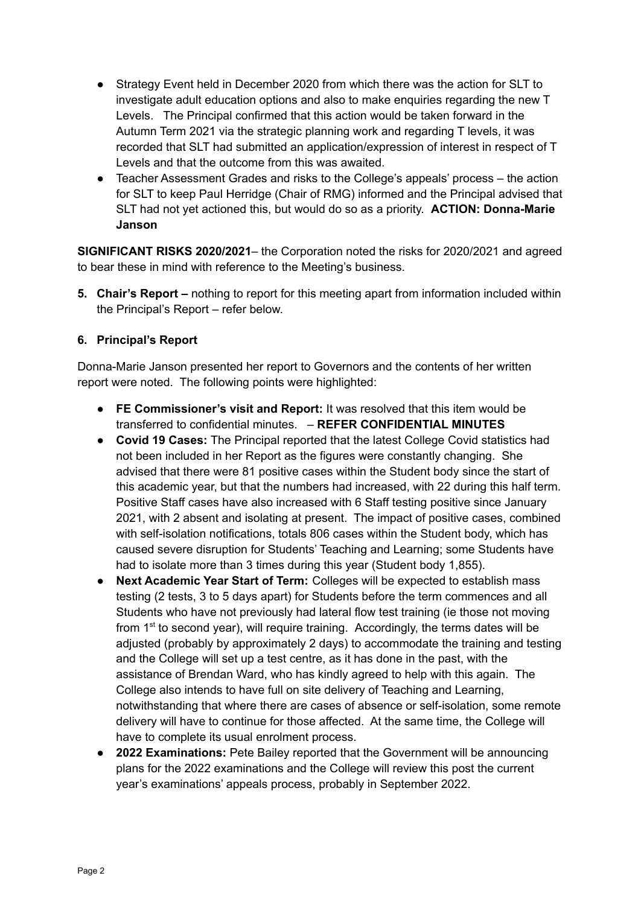- Strategy Event held in December 2020 from which there was the action for SLT to investigate adult education options and also to make enquiries regarding the new T Levels. The Principal confirmed that this action would be taken forward in the Autumn Term 2021 via the strategic planning work and regarding T levels, it was recorded that SLT had submitted an application/expression of interest in respect of T Levels and that the outcome from this was awaited.
- Teacher Assessment Grades and risks to the College's appeals' process the action for SLT to keep Paul Herridge (Chair of RMG) informed and the Principal advised that SLT had not yet actioned this, but would do so as a priority. **ACTION: Donna-Marie Janson**

**SIGNIFICANT RISKS 2020/2021**– the Corporation noted the risks for 2020/2021 and agreed to bear these in mind with reference to the Meeting's business.

**5. Chair's Report –** nothing to report for this meeting apart from information included within the Principal's Report – refer below.

# **6. Principal's Report**

Donna-Marie Janson presented her report to Governors and the contents of her written report were noted. The following points were highlighted:

- **● FE Commissioner's visit and Report:** It was resolved that this item would be transferred to confidential minutes. – **REFER CONFIDENTIAL MINUTES**
- **● Covid 19 Cases:** The Principal reported that the latest College Covid statistics had not been included in her Report as the figures were constantly changing. She advised that there were 81 positive cases within the Student body since the start of this academic year, but that the numbers had increased, with 22 during this half term. Positive Staff cases have also increased with 6 Staff testing positive since January 2021, with 2 absent and isolating at present. The impact of positive cases, combined with self-isolation notifications, totals 806 cases within the Student body, which has caused severe disruption for Students' Teaching and Learning; some Students have had to isolate more than 3 times during this year (Student body 1,855).
- **● Next Academic Year Start of Term:** Colleges will be expected to establish mass testing (2 tests, 3 to 5 days apart) for Students before the term commences and all Students who have not previously had lateral flow test training (ie those not moving from 1<sup>st</sup> to second year), will require training. Accordingly, the terms dates will be adjusted (probably by approximately 2 days) to accommodate the training and testing and the College will set up a test centre, as it has done in the past, with the assistance of Brendan Ward, who has kindly agreed to help with this again. The College also intends to have full on site delivery of Teaching and Learning, notwithstanding that where there are cases of absence or self-isolation, some remote delivery will have to continue for those affected. At the same time, the College will have to complete its usual enrolment process.
- **● 2022 Examinations:** Pete Bailey reported that the Government will be announcing plans for the 2022 examinations and the College will review this post the current year's examinations' appeals process, probably in September 2022.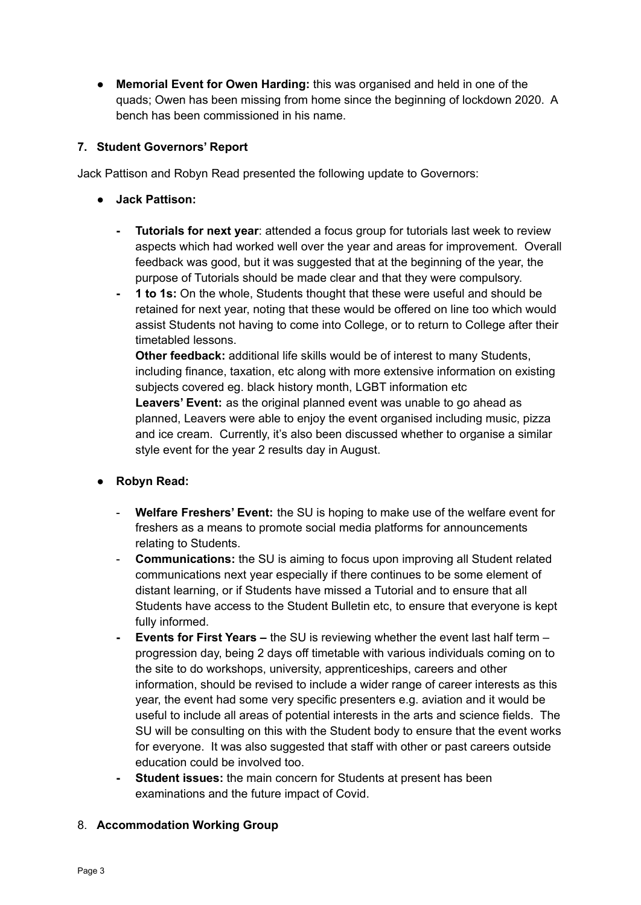**● Memorial Event for Owen Harding:** this was organised and held in one of the quads; Owen has been missing from home since the beginning of lockdown 2020. A bench has been commissioned in his name.

# **7. Student Governors' Report**

Jack Pattison and Robyn Read presented the following update to Governors:

- **● Jack Pattison:**
	- **- Tutorials for next year**: attended a focus group for tutorials last week to review aspects which had worked well over the year and areas for improvement. Overall feedback was good, but it was suggested that at the beginning of the year, the purpose of Tutorials should be made clear and that they were compulsory.
	- **- 1 to 1s:** On the whole, Students thought that these were useful and should be retained for next year, noting that these would be offered on line too which would assist Students not having to come into College, or to return to College after their timetabled lessons.

**Other feedback:** additional life skills would be of interest to many Students, including finance, taxation, etc along with more extensive information on existing subjects covered eg. black history month, LGBT information etc **Leavers' Event:** as the original planned event was unable to go ahead as planned, Leavers were able to enjoy the event organised including music, pizza and ice cream. Currently, it's also been discussed whether to organise a similar style event for the year 2 results day in August.

- **● Robyn Read:**
	- **Welfare Freshers' Event:** the SU is hoping to make use of the welfare event for freshers as a means to promote social media platforms for announcements relating to Students.
	- **Communications:** the SU is aiming to focus upon improving all Student related communications next year especially if there continues to be some element of distant learning, or if Students have missed a Tutorial and to ensure that all Students have access to the Student Bulletin etc, to ensure that everyone is kept fully informed.
	- **- Events for First Years –** the SU is reviewing whether the event last half term progression day, being 2 days off timetable with various individuals coming on to the site to do workshops, university, apprenticeships, careers and other information, should be revised to include a wider range of career interests as this year, the event had some very specific presenters e.g. aviation and it would be useful to include all areas of potential interests in the arts and science fields. The SU will be consulting on this with the Student body to ensure that the event works for everyone. It was also suggested that staff with other or past careers outside education could be involved too.
	- **- Student issues:** the main concern for Students at present has been examinations and the future impact of Covid.

#### 8. **Accommodation Working Group**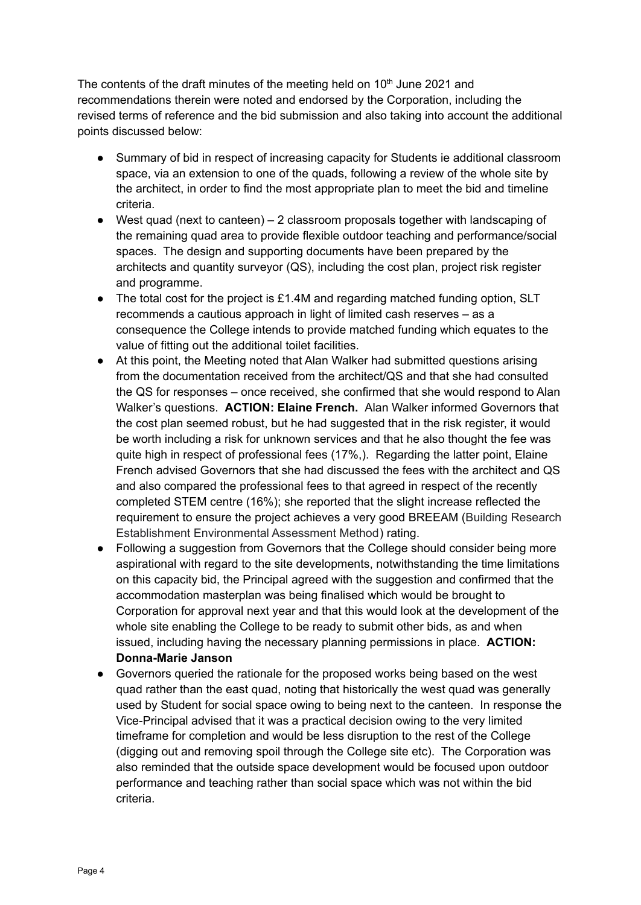The contents of the draft minutes of the meeting held on  $10<sup>th</sup>$  June 2021 and recommendations therein were noted and endorsed by the Corporation, including the revised terms of reference and the bid submission and also taking into account the additional points discussed below:

- Summary of bid in respect of increasing capacity for Students ie additional classroom space, via an extension to one of the quads, following a review of the whole site by the architect, in order to find the most appropriate plan to meet the bid and timeline criteria.
- West quad (next to canteen) 2 classroom proposals together with landscaping of the remaining quad area to provide flexible outdoor teaching and performance/social spaces. The design and supporting documents have been prepared by the architects and quantity surveyor (QS), including the cost plan, project risk register and programme.
- The total cost for the project is £1.4M and regarding matched funding option, SLT recommends a cautious approach in light of limited cash reserves – as a consequence the College intends to provide matched funding which equates to the value of fitting out the additional toilet facilities.
- At this point, the Meeting noted that Alan Walker had submitted questions arising from the documentation received from the architect/QS and that she had consulted the QS for responses – once received, she confirmed that she would respond to Alan Walker's questions. **ACTION: Elaine French.** Alan Walker informed Governors that the cost plan seemed robust, but he had suggested that in the risk register, it would be worth including a risk for unknown services and that he also thought the fee was quite high in respect of professional fees (17%,). Regarding the latter point, Elaine French advised Governors that she had discussed the fees with the architect and QS and also compared the professional fees to that agreed in respect of the recently completed STEM centre (16%); she reported that the slight increase reflected the requirement to ensure the project achieves a very good BREEAM (Building Research Establishment Environmental Assessment Method) rating.
- Following a suggestion from Governors that the College should consider being more aspirational with regard to the site developments, notwithstanding the time limitations on this capacity bid, the Principal agreed with the suggestion and confirmed that the accommodation masterplan was being finalised which would be brought to Corporation for approval next year and that this would look at the development of the whole site enabling the College to be ready to submit other bids, as and when issued, including having the necessary planning permissions in place. **ACTION: Donna-Marie Janson**
- Governors queried the rationale for the proposed works being based on the west quad rather than the east quad, noting that historically the west quad was generally used by Student for social space owing to being next to the canteen. In response the Vice-Principal advised that it was a practical decision owing to the very limited timeframe for completion and would be less disruption to the rest of the College (digging out and removing spoil through the College site etc). The Corporation was also reminded that the outside space development would be focused upon outdoor performance and teaching rather than social space which was not within the bid criteria.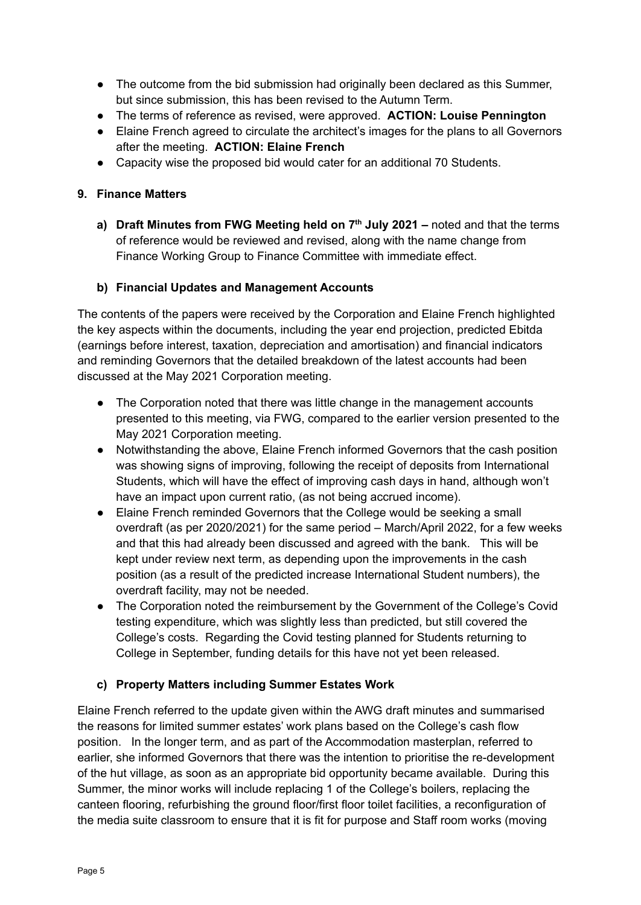- The outcome from the bid submission had originally been declared as this Summer, but since submission, this has been revised to the Autumn Term.
- The terms of reference as revised, were approved. **ACTION: Louise Pennington**
- Elaine French agreed to circulate the architect's images for the plans to all Governors after the meeting. **ACTION: Elaine French**
- Capacity wise the proposed bid would cater for an additional 70 Students.

### **9. Finance Matters**

**a) Draft Minutes from FWG Meeting held on 7 th July 2021 –** noted and that the terms of reference would be reviewed and revised, along with the name change from Finance Working Group to Finance Committee with immediate effect.

# **b) Financial Updates and Management Accounts**

The contents of the papers were received by the Corporation and Elaine French highlighted the key aspects within the documents, including the year end projection, predicted Ebitda (earnings before interest, taxation, depreciation and amortisation) and financial indicators and reminding Governors that the detailed breakdown of the latest accounts had been discussed at the May 2021 Corporation meeting.

- The Corporation noted that there was little change in the management accounts presented to this meeting, via FWG, compared to the earlier version presented to the May 2021 Corporation meeting.
- Notwithstanding the above, Elaine French informed Governors that the cash position was showing signs of improving, following the receipt of deposits from International Students, which will have the effect of improving cash days in hand, although won't have an impact upon current ratio, (as not being accrued income).
- Elaine French reminded Governors that the College would be seeking a small overdraft (as per 2020/2021) for the same period – March/April 2022, for a few weeks and that this had already been discussed and agreed with the bank. This will be kept under review next term, as depending upon the improvements in the cash position (as a result of the predicted increase International Student numbers), the overdraft facility, may not be needed.
- The Corporation noted the reimbursement by the Government of the College's Covid testing expenditure, which was slightly less than predicted, but still covered the College's costs. Regarding the Covid testing planned for Students returning to College in September, funding details for this have not yet been released.

# **c) Property Matters including Summer Estates Work**

Elaine French referred to the update given within the AWG draft minutes and summarised the reasons for limited summer estates' work plans based on the College's cash flow position. In the longer term, and as part of the Accommodation masterplan, referred to earlier, she informed Governors that there was the intention to prioritise the re-development of the hut village, as soon as an appropriate bid opportunity became available. During this Summer, the minor works will include replacing 1 of the College's boilers, replacing the canteen flooring, refurbishing the ground floor/first floor toilet facilities, a reconfiguration of the media suite classroom to ensure that it is fit for purpose and Staff room works (moving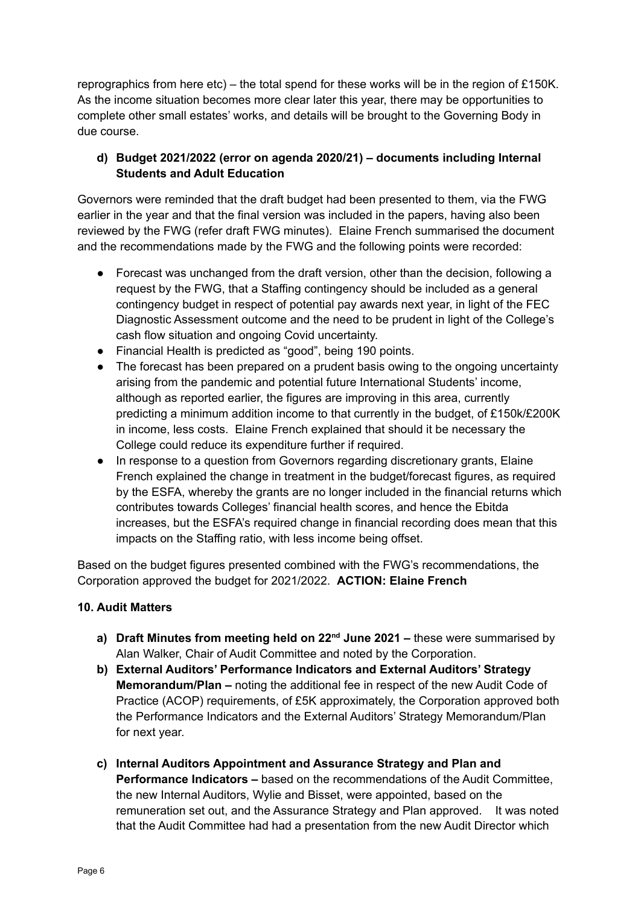reprographics from here  $etc$ ) – the total spend for these works will be in the region of £150K. As the income situation becomes more clear later this year, there may be opportunities to complete other small estates' works, and details will be brought to the Governing Body in due course.

# **d) Budget 2021/2022 (error on agenda 2020/21) – documents including Internal Students and Adult Education**

Governors were reminded that the draft budget had been presented to them, via the FWG earlier in the year and that the final version was included in the papers, having also been reviewed by the FWG (refer draft FWG minutes). Elaine French summarised the document and the recommendations made by the FWG and the following points were recorded:

- Forecast was unchanged from the draft version, other than the decision, following a request by the FWG, that a Staffing contingency should be included as a general contingency budget in respect of potential pay awards next year, in light of the FEC Diagnostic Assessment outcome and the need to be prudent in light of the College's cash flow situation and ongoing Covid uncertainty.
- Financial Health is predicted as "good", being 190 points.
- The forecast has been prepared on a prudent basis owing to the ongoing uncertainty arising from the pandemic and potential future International Students' income, although as reported earlier, the figures are improving in this area, currently predicting a minimum addition income to that currently in the budget, of £150k/£200K in income, less costs. Elaine French explained that should it be necessary the College could reduce its expenditure further if required.
- In response to a question from Governors regarding discretionary grants, Elaine French explained the change in treatment in the budget/forecast figures, as required by the ESFA, whereby the grants are no longer included in the financial returns which contributes towards Colleges' financial health scores, and hence the Ebitda increases, but the ESFA's required change in financial recording does mean that this impacts on the Staffing ratio, with less income being offset.

Based on the budget figures presented combined with the FWG's recommendations, the Corporation approved the budget for 2021/2022. **ACTION: Elaine French**

# **10. Audit Matters**

- **a) Draft Minutes from meeting held on 22 nd June 2021 –** these were summarised by Alan Walker, Chair of Audit Committee and noted by the Corporation.
- **b) External Auditors' Performance Indicators and External Auditors' Strategy Memorandum/Plan –** noting the additional fee in respect of the new Audit Code of Practice (ACOP) requirements, of £5K approximately, the Corporation approved both the Performance Indicators and the External Auditors' Strategy Memorandum/Plan for next year.
- **c) Internal Auditors Appointment and Assurance Strategy and Plan and Performance Indicators –** based on the recommendations of the Audit Committee, the new Internal Auditors, Wylie and Bisset, were appointed, based on the remuneration set out, and the Assurance Strategy and Plan approved. It was noted that the Audit Committee had had a presentation from the new Audit Director which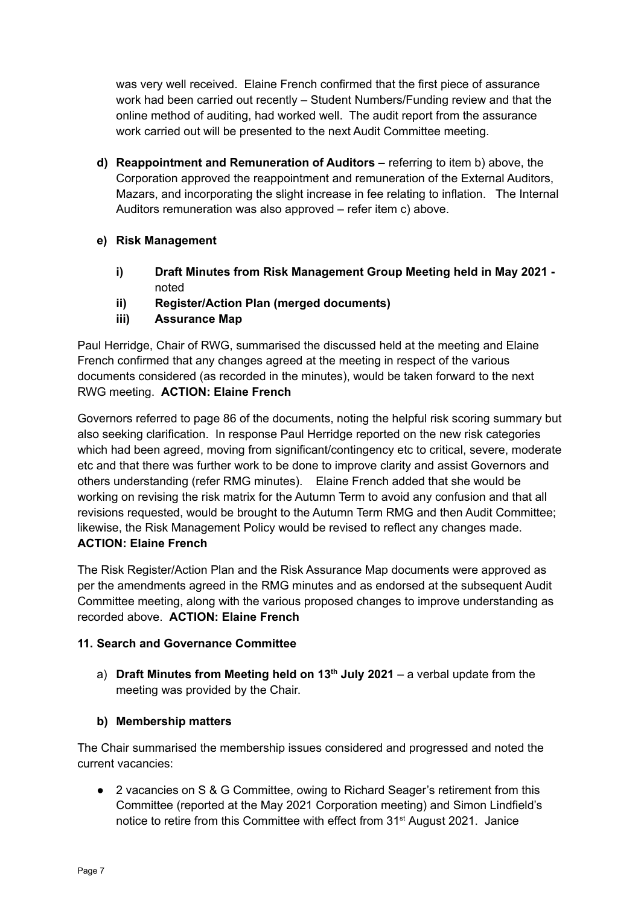was very well received. Elaine French confirmed that the first piece of assurance work had been carried out recently – Student Numbers/Funding review and that the online method of auditing, had worked well. The audit report from the assurance work carried out will be presented to the next Audit Committee meeting.

**d) Reappointment and Remuneration of Auditors –** referring to item b) above, the Corporation approved the reappointment and remuneration of the External Auditors, Mazars, and incorporating the slight increase in fee relating to inflation. The Internal Auditors remuneration was also approved – refer item c) above.

# **e) Risk Management**

- **i) Draft Minutes from Risk Management Group Meeting held in May 2021**  noted
- **ii) Register/Action Plan (merged documents)**
- **iii) Assurance Map**

Paul Herridge, Chair of RWG, summarised the discussed held at the meeting and Elaine French confirmed that any changes agreed at the meeting in respect of the various documents considered (as recorded in the minutes), would be taken forward to the next RWG meeting. **ACTION: Elaine French**

Governors referred to page 86 of the documents, noting the helpful risk scoring summary but also seeking clarification. In response Paul Herridge reported on the new risk categories which had been agreed, moving from significant/contingency etc to critical, severe, moderate etc and that there was further work to be done to improve clarity and assist Governors and others understanding (refer RMG minutes). Elaine French added that she would be working on revising the risk matrix for the Autumn Term to avoid any confusion and that all revisions requested, would be brought to the Autumn Term RMG and then Audit Committee; likewise, the Risk Management Policy would be revised to reflect any changes made. **ACTION: Elaine French**

The Risk Register/Action Plan and the Risk Assurance Map documents were approved as per the amendments agreed in the RMG minutes and as endorsed at the subsequent Audit Committee meeting, along with the various proposed changes to improve understanding as recorded above. **ACTION: Elaine French**

# **11. Search and Governance Committee**

a) **Draft Minutes from Meeting held on 13 th July 2021** – a verbal update from the meeting was provided by the Chair.

# **b) Membership matters**

The Chair summarised the membership issues considered and progressed and noted the current vacancies:

**●** 2 vacancies on S & G Committee, owing to Richard Seager's retirement from this Committee (reported at the May 2021 Corporation meeting) and Simon Lindfield's notice to retire from this Committee with effect from 31<sup>st</sup> August 2021. Janice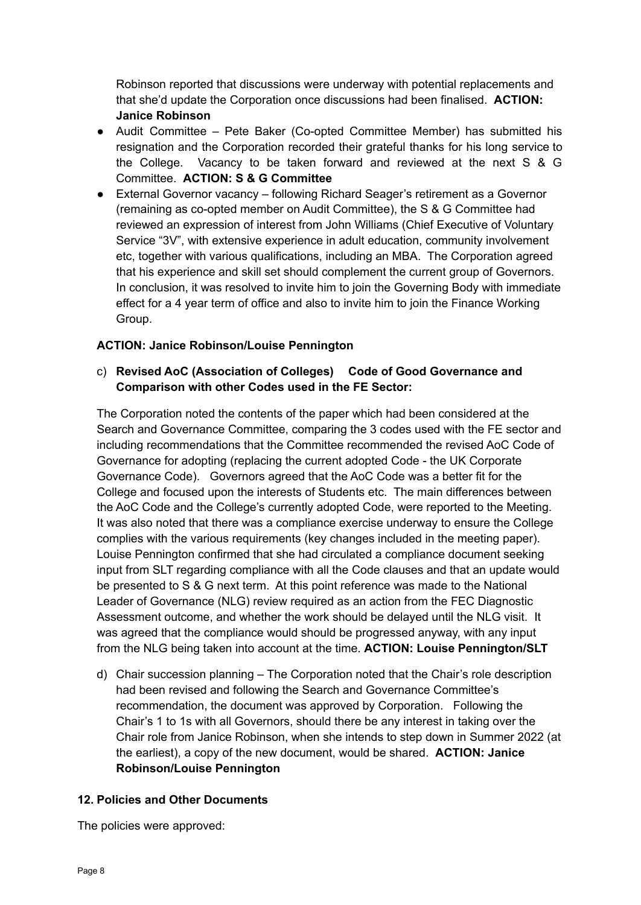Robinson reported that discussions were underway with potential replacements and that she'd update the Corporation once discussions had been finalised. **ACTION: Janice Robinson**

- **●** Audit Committee Pete Baker (Co-opted Committee Member) has submitted his resignation and the Corporation recorded their grateful thanks for his long service to the College. Vacancy to be taken forward and reviewed at the next S & G Committee. **ACTION: S & G Committee**
- External Governor vacancy following Richard Seager's retirement as a Governor (remaining as co-opted member on Audit Committee), the S & G Committee had reviewed an expression of interest from John Williams (Chief Executive of Voluntary Service "3V", with extensive experience in adult education, community involvement etc, together with various qualifications, including an MBA. The Corporation agreed that his experience and skill set should complement the current group of Governors. In conclusion, it was resolved to invite him to join the Governing Body with immediate effect for a 4 year term of office and also to invite him to join the Finance Working Group.

### **ACTION: Janice Robinson/Louise Pennington**

# c) **Revised AoC (Association of Colleges) Code of Good Governance and Comparison with other Codes used in the FE Sector:**

The Corporation noted the contents of the paper which had been considered at the Search and Governance Committee, comparing the 3 codes used with the FE sector and including recommendations that the Committee recommended the revised AoC Code of Governance for adopting (replacing the current adopted Code - the UK Corporate Governance Code). Governors agreed that the AoC Code was a better fit for the College and focused upon the interests of Students etc. The main differences between the AoC Code and the College's currently adopted Code, were reported to the Meeting. It was also noted that there was a compliance exercise underway to ensure the College complies with the various requirements (key changes included in the meeting paper). Louise Pennington confirmed that she had circulated a compliance document seeking input from SLT regarding compliance with all the Code clauses and that an update would be presented to S & G next term. At this point reference was made to the National Leader of Governance (NLG) review required as an action from the FEC Diagnostic Assessment outcome, and whether the work should be delayed until the NLG visit. It was agreed that the compliance would should be progressed anyway, with any input from the NLG being taken into account at the time. **ACTION: Louise Pennington/SLT**

d) Chair succession planning – The Corporation noted that the Chair's role description had been revised and following the Search and Governance Committee's recommendation, the document was approved by Corporation. Following the Chair's 1 to 1s with all Governors, should there be any interest in taking over the Chair role from Janice Robinson, when she intends to step down in Summer 2022 (at the earliest), a copy of the new document, would be shared. **ACTION: Janice Robinson/Louise Pennington**

#### **12. Policies and Other Documents**

The policies were approved: